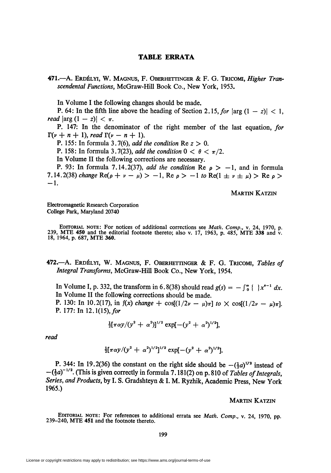# TABLE ERRATA

471.—A. Erdélyi, W. Magnus, F. Oberhettinger & F. G. Tricomi, Higher Transcendental Functions, McGraw-Hill Book Co., New York, 1953.

In Volume I the following changes should be made.

P. 64: In the fifth line above the heading of Section 2.15, for  $|\arg (1 - z)| < 1$ , read  $|\arg (1 - z)| < \pi$ .

P. 147: In the denominator of the right member of the last equation, for  $\Gamma(\nu + n + 1)$ , read  $\Gamma(\nu - n + 1)$ .

P. 155: In formula 3.7(6), add the condition Re  $z > 0$ .

P. 158: In formula 3.7(23), add the condition  $0 < \theta < \pi/2$ .

In Volume II the following corrections are necessary.

P. 93: In formula 7.14.2(37), add the condition Re  $\rho > -1$ , and in formula 7.14.2(38) change Re( $\rho + \nu - \mu$ ) > -1, Re  $\rho$  > -1 to Re(1  $\pm \nu \pm \mu$ ) > Re  $\rho$  >  $-1.$ 

Martin Katzin

Electromagnetic Research Corporation College Park, Maryland 20740

EDITORIAL NOTE: For notices of additional corrections see Math. Comp., v. 24, 1970, p. 239, MTE 450 and the editorial footnote thereto; also v. 17, 1963, p. 485, MTE 338 and v. 18, 1964, p. 687, MTE 360.

472.—A. Erdélyi, W. Magnus, F. Oberhettinger & F. G. Tricomi, Tables of Integral Transforms, McGraw-Hill Book Co., New York, 1954.

In Volume I, p. 332, the transform in 6.8(38) should read  $g(s) = -\int_{0}^{\infty} \{x^{s-1} dx$ . In Volume II the following corrections should be made. P. 130: In 10.2(17), in  $f(x)$  change  $+ \cos[(1/2\nu - \mu)\pi]$  to  $\times \cos[(1/2\nu - \mu)\pi]$ .

P. 177: In  $12.1(15)$ , for

$$
\frac{1}{2}[\pi\alpha y/(y^2+\alpha^2)]^{1/2}\exp[-(y^2+\alpha^2)^{1/2}],
$$

read

$$
\frac{1}{2}[\pi\alpha y/(y^2+\alpha^2)^{1/2}]^{1/2}\exp[-(y^2+\alpha^2)^{1/2}].
$$

P. 344: In 19.2(36) the constant on the right side should be  $-(\frac{1}{2}a)^{1/2}$  instead of  $-(\frac{1}{2}a)^{-1/2}$ . (This is given correctly in formula 7.181(2) on p. 810 of Tables of Integrals, Series, and Products, by I. S. Gradshteyn & I. M. Ryzhik, Academic Press, New York 1965.)

Martin Katzin

EDITORIAL NOTE: For references to additional errata see Math. Comp., v. 24, 1970, pp. 239-240, MTE 451 and the footnote thereto.

199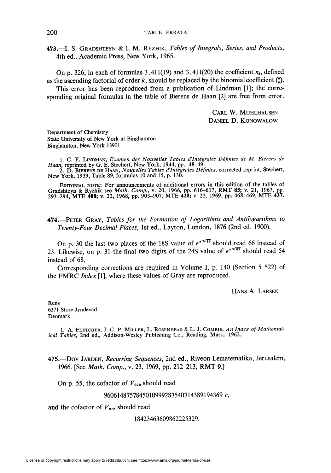473.—I. S. GRADSHTEYN & I. M. RYZHIK, Tables of Integrals, Series, and Products, 4th ed., Academic Press, New York, 1965.

On p. 326, in each of formulas 3.411(19) and 3.411(20) the coefficient  $n_k$ , defined as the ascending factorial of order k, should be replaced by the binomial coefficient  $\binom{n}{k}$ .

This error has been reproduced from a publication of Lindman [1]; the corresponding original formulas in the table of Bierens de Haan [2] are free from error.

> Carl W. Muhlhausen Daniel D. Konowalow

Department of Chemistry State University of New York at Binghamton Binghamton, New York 13901

1. C. F. Lindman, Examen des Nouvelles Tables d'Intégrales Définies de M. Bierens de Haan, reprinted by G. E. Stechert, New York, 1944, pp. 48–49.<br>2. D. Bierens de Haan, *Nouvelles Tables d'Intégrales Définies*, corrected reprint, Stechert<br>New York, 1939, Table 89, formulas 10 and 15, p. 130.

Editorial note: For announcements of additional errors in this edition of the tables of Gradshteyn & Ryzhik see *Math. Comp.*, v. 20, 1966, pp. 616–617, RMT 85; v. 21, 1967, pp.<br>293–294, MTE 408; v. 22, 1968, pp. 903–907, MTE 428; v. 23, 1969, pp. 468–469, MTE 437.

474.—PETER GRAY, Tables for the Formation of Logarithms and Antilogarithms to Twenty-Four Decimal Places, 1st ed., Layton, London, 1876 (2nd ed. 1900).

On p. 30 the last two places of the 18S value of  $e^{\tau \sqrt{43}}$  should read 66 instead of 23. Likewise, on p. 31 the final two digits of the 24S value of  $e^{\tau \sqrt{67}}$  should read 54 instead of 68.

Corresponding corrections are required in Volume I, p. 140 (Section 5.522) of the FMRC Index [1], where these values of Gray are reproduced.

Hans A. Larsen

Rens 6371 Store-Jyndevad Denmark

1. A. FLETCHER, J. C. P. MILLER, L. ROSENHEAD & L. J. COMRIE, An Index of Mathematical Tables, 2nd ed., Addison-Wesley Publishing Co., Reading, Mass., 1962.

475.—Dov JARDEN, Recurring Sequences, 2nd ed., Riveon Lematematika, Jerusalem, 1966. [See Math. Comp., v. 23, 1969, pp. 212-213, RMT 9.]

On p. 55, the cofactor of  $V_{272}$  should read

# 9606148757845010999287540714389194369 c,

and the cofactor of  $V_{276}$  should read

### 18423463609862225329.

License or copyright restrictions may apply to redistribution; see https://www.ams.org/journal-terms-of-use